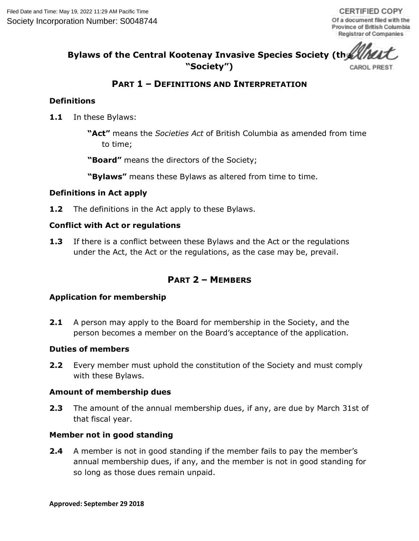#### **Bylaws of the Central Kootenay Invasive Species Society (the "Society")** CAROL PREST

# **PART 1 – DEFINITIONS AND INTERPRETATION**

#### **Definitions**

**1.1** In these Bylaws:

**"Act"** means the *Societies Act* of British Columbia as amended from time to time;

**"Board"** means the directors of the Society;

**"Bylaws"** means these Bylaws as altered from time to time.

#### **Definitions in Act apply**

**1.2** The definitions in the Act apply to these Bylaws.

#### **Conflict with Act or regulations**

**1.3** If there is a conflict between these Bylaws and the Act or the regulations under the Act, the Act or the regulations, as the case may be, prevail.

# **PART 2 – MEMBERS**

#### **Application for membership**

**2.1** A person may apply to the Board for membership in the Society, and the person becomes a member on the Board's acceptance of the application.

#### **Duties of members**

**2.2** Every member must uphold the constitution of the Society and must comply with these Bylaws.

#### **Amount of membership dues**

**2.3** The amount of the annual membership dues, if any, are due by March 31st of that fiscal year.

#### **Member not in good standing**

**2.4** A member is not in good standing if the member fails to pay the member's annual membership dues, if any, and the member is not in good standing for so long as those dues remain unpaid.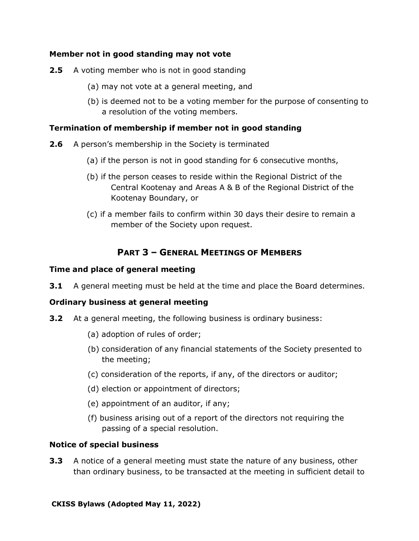#### **Member not in good standing may not vote**

- **2.5** A voting member who is not in good standing
	- (a) may not vote at a general meeting, and
	- (b) is deemed not to be a voting member for the purpose of consenting to a resolution of the voting members.

### **Termination of membership if member not in good standing**

- **2.6** A person's membership in the Society is terminated
	- (a) if the person is not in good standing for 6 consecutive months,
	- (b) if the person ceases to reside within the Regional District of the Central Kootenay and Areas A & B of the Regional District of the Kootenay Boundary, or
	- (c) if a member fails to confirm within 30 days their desire to remain a member of the Society upon request.

# **PART 3 – GENERAL MEETINGS OF MEMBERS**

### **Time and place of general meeting**

**3.1** A general meeting must be held at the time and place the Board determines.

#### **Ordinary business at general meeting**

- **3.2** At a general meeting, the following business is ordinary business:
	- (a) adoption of rules of order;
	- (b) consideration of any financial statements of the Society presented to the meeting;
	- (c) consideration of the reports, if any, of the directors or auditor;
	- (d) election or appointment of directors;
	- (e) appointment of an auditor, if any;
	- (f) business arising out of a report of the directors not requiring the passing of a special resolution.

#### **Notice of special business**

**3.3** A notice of a general meeting must state the nature of any business, other than ordinary business, to be transacted at the meeting in sufficient detail to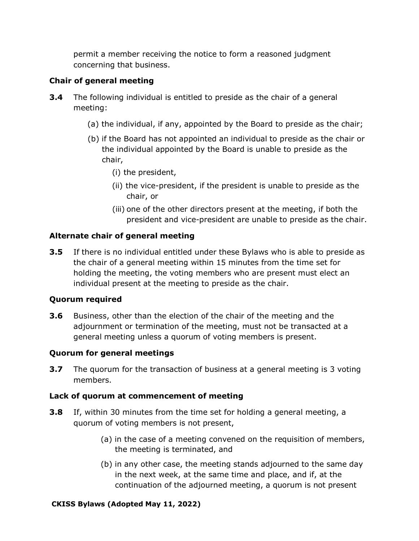permit a member receiving the notice to form a reasoned judgment concerning that business.

# **Chair of general meeting**

- **3.4** The following individual is entitled to preside as the chair of a general meeting:
	- (a) the individual, if any, appointed by the Board to preside as the chair;
	- (b) if the Board has not appointed an individual to preside as the chair or the individual appointed by the Board is unable to preside as the chair,
		- (i) the president,
		- (ii) the vice-president, if the president is unable to preside as the chair, or
		- (iii) one of the other directors present at the meeting, if both the president and vice-president are unable to preside as the chair.

# **Alternate chair of general meeting**

**3.5** If there is no individual entitled under these Bylaws who is able to preside as the chair of a general meeting within 15 minutes from the time set for holding the meeting, the voting members who are present must elect an individual present at the meeting to preside as the chair.

# **Quorum required**

**3.6** Business, other than the election of the chair of the meeting and the adjournment or termination of the meeting, must not be transacted at a general meeting unless a quorum of voting members is present.

# **Quorum for general meetings**

**3.7** The quorum for the transaction of business at a general meeting is 3 voting members.

# **Lack of quorum at commencement of meeting**

- **3.8** If, within 30 minutes from the time set for holding a general meeting, a quorum of voting members is not present,
	- (a) in the case of a meeting convened on the requisition of members, the meeting is terminated, and
	- (b) in any other case, the meeting stands adjourned to the same day in the next week, at the same time and place, and if, at the continuation of the adjourned meeting, a quorum is not present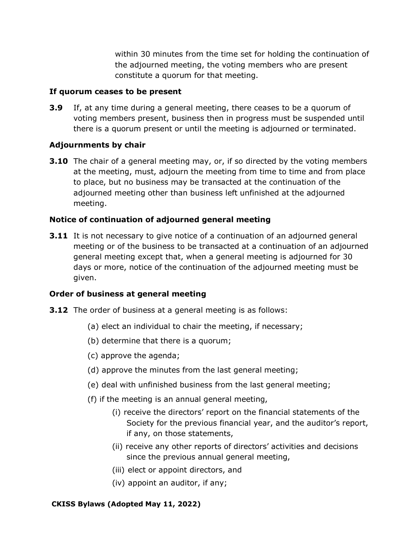within 30 minutes from the time set for holding the continuation of the adjourned meeting, the voting members who are present constitute a quorum for that meeting.

#### **If quorum ceases to be present**

**3.9** If, at any time during a general meeting, there ceases to be a quorum of voting members present, business then in progress must be suspended until there is a quorum present or until the meeting is adjourned or terminated.

# **Adjournments by chair**

**3.10** The chair of a general meeting may, or, if so directed by the voting members at the meeting, must, adjourn the meeting from time to time and from place to place, but no business may be transacted at the continuation of the adjourned meeting other than business left unfinished at the adjourned meeting.

# **Notice of continuation of adjourned general meeting**

**3.11** It is not necessary to give notice of a continuation of an adjourned general meeting or of the business to be transacted at a continuation of an adjourned general meeting except that, when a general meeting is adjourned for 30 days or more, notice of the continuation of the adjourned meeting must be given.

# **Order of business at general meeting**

- **3.12** The order of business at a general meeting is as follows:
	- (a) elect an individual to chair the meeting, if necessary;
	- (b) determine that there is a quorum;
	- (c) approve the agenda;
	- (d) approve the minutes from the last general meeting;
	- (e) deal with unfinished business from the last general meeting;
	- (f) if the meeting is an annual general meeting,
		- (i) receive the directors' report on the financial statements of the Society for the previous financial year, and the auditor's report, if any, on those statements,
		- (ii) receive any other reports of directors' activities and decisions since the previous annual general meeting,
		- (iii) elect or appoint directors, and
		- (iv) appoint an auditor, if any;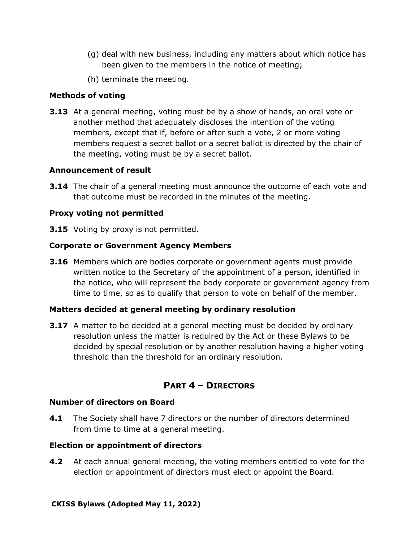- (g) deal with new business, including any matters about which notice has been given to the members in the notice of meeting;
- (h) terminate the meeting.

### **Methods of voting**

**3.13** At a general meeting, voting must be by a show of hands, an oral vote or another method that adequately discloses the intention of the voting members, except that if, before or after such a vote, 2 or more voting members request a secret ballot or a secret ballot is directed by the chair of the meeting, voting must be by a secret ballot.

#### **Announcement of result**

**3.14** The chair of a general meeting must announce the outcome of each vote and that outcome must be recorded in the minutes of the meeting.

#### **Proxy voting not permitted**

**3.15** Voting by proxy is not permitted.

#### **Corporate or Government Agency Members**

**3.16** Members which are bodies corporate or government agents must provide written notice to the Secretary of the appointment of a person, identified in the notice, who will represent the body corporate or government agency from time to time, so as to qualify that person to vote on behalf of the member.

#### **Matters decided at general meeting by ordinary resolution**

**3.17** A matter to be decided at a general meeting must be decided by ordinary resolution unless the matter is required by the Act or these Bylaws to be decided by special resolution or by another resolution having a higher voting threshold than the threshold for an ordinary resolution.

#### **PART 4 – DIRECTORS**

#### **Number of directors on Board**

**4.1** The Society shall have 7 directors or the number of directors determined from time to time at a general meeting.

#### **Election or appointment of directors**

**4.2** At each annual general meeting, the voting members entitled to vote for the election or appointment of directors must elect or appoint the Board.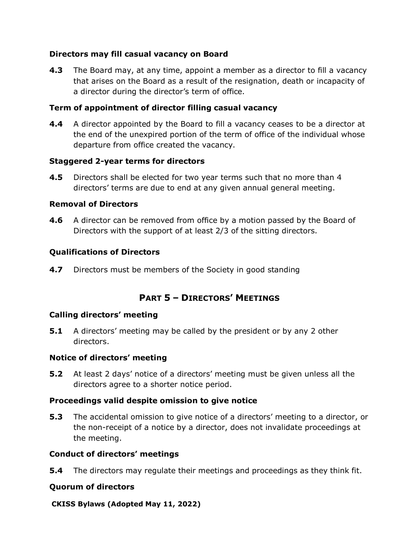### **Directors may fill casual vacancy on Board**

**4.3** The Board may, at any time, appoint a member as a director to fill a vacancy that arises on the Board as a result of the resignation, death or incapacity of a director during the director's term of office.

### **Term of appointment of director filling casual vacancy**

**4.4** A director appointed by the Board to fill a vacancy ceases to be a director at the end of the unexpired portion of the term of office of the individual whose departure from office created the vacancy.

### **Staggered 2-year terms for directors**

**4.5** Directors shall be elected for two year terms such that no more than 4 directors' terms are due to end at any given annual general meeting.

### **Removal of Directors**

**4.6** A director can be removed from office by a motion passed by the Board of Directors with the support of at least 2/3 of the sitting directors.

# **Qualifications of Directors**

**4.7** Directors must be members of the Society in good standing

# **PART 5 – DIRECTORS' MEETINGS**

# **Calling directors' meeting**

**5.1** A directors' meeting may be called by the president or by any 2 other directors.

#### **Notice of directors' meeting**

**5.2** At least 2 days' notice of a directors' meeting must be given unless all the directors agree to a shorter notice period.

# **Proceedings valid despite omission to give notice**

**5.3** The accidental omission to give notice of a directors' meeting to a director, or the non-receipt of a notice by a director, does not invalidate proceedings at the meeting.

#### **Conduct of directors' meetings**

**5.4** The directors may regulate their meetings and proceedings as they think fit.

#### **Quorum of directors**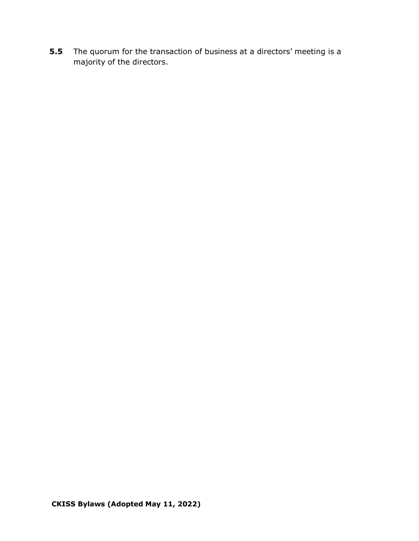**5.5** The quorum for the transaction of business at a directors' meeting is a majority of the directors.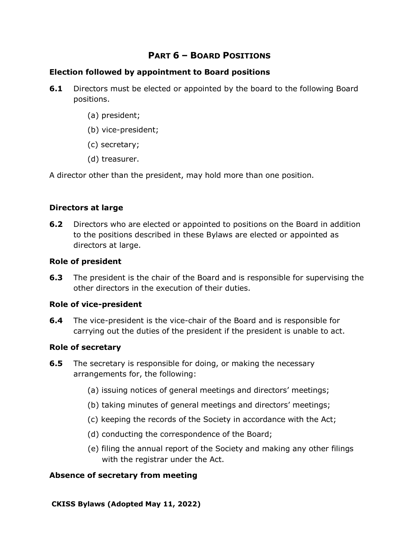# **PART 6 – BOARD POSITIONS**

#### **Election followed by appointment to Board positions**

- **6.1** Directors must be elected or appointed by the board to the following Board positions.
	- (a) president;
	- (b) vice-president;
	- (c) secretary;
	- (d) treasurer.

A director other than the president, may hold more than one position.

#### **Directors at large**

**6.2** Directors who are elected or appointed to positions on the Board in addition to the positions described in these Bylaws are elected or appointed as directors at large.

### **Role of president**

**6.3** The president is the chair of the Board and is responsible for supervising the other directors in the execution of their duties.

#### **Role of vice-president**

**6.4** The vice-president is the vice-chair of the Board and is responsible for carrying out the duties of the president if the president is unable to act.

#### **Role of secretary**

- **6.5** The secretary is responsible for doing, or making the necessary arrangements for, the following:
	- (a) issuing notices of general meetings and directors' meetings;
	- (b) taking minutes of general meetings and directors' meetings;
	- (c) keeping the records of the Society in accordance with the Act;
	- (d) conducting the correspondence of the Board;
	- (e) filing the annual report of the Society and making any other filings with the registrar under the Act.

# **Absence of secretary from meeting**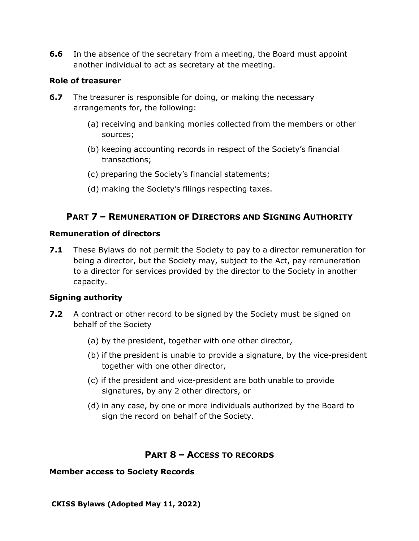**6.6** In the absence of the secretary from a meeting, the Board must appoint another individual to act as secretary at the meeting.

#### **Role of treasurer**

- **6.7** The treasurer is responsible for doing, or making the necessary arrangements for, the following:
	- (a) receiving and banking monies collected from the members or other sources;
	- (b) keeping accounting records in respect of the Society's financial transactions;
	- (c) preparing the Society's financial statements;
	- (d) making the Society's filings respecting taxes.

# **PART 7 – REMUNERATION OF DIRECTORS AND SIGNING AUTHORITY**

#### **Remuneration of directors**

**7.1** These Bylaws do not permit the Society to pay to a director remuneration for being a director, but the Society may, subject to the Act, pay remuneration to a director for services provided by the director to the Society in another capacity.

# **Signing authority**

- **7.2** A contract or other record to be signed by the Society must be signed on behalf of the Society
	- (a) by the president, together with one other director,
	- (b) if the president is unable to provide a signature, by the vice-president together with one other director,
	- (c) if the president and vice-president are both unable to provide signatures, by any 2 other directors, or
	- (d) in any case, by one or more individuals authorized by the Board to sign the record on behalf of the Society.

# **PART 8 – ACCESS TO RECORDS**

#### **Member access to Society Records**